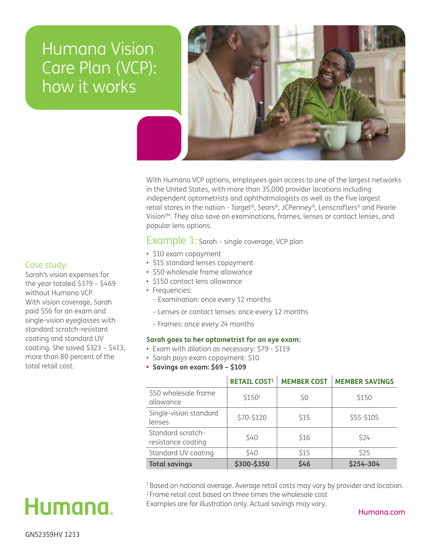# Humana Vision Care Plan (VCP): how it works



With Humana VCP options, employees gain access to one of the largest networks in the United States, with more than 35,000 provider locations including independent optometrists and ophthalmologists as well as the five largest retail stores in the nation - Target®, Sears®, JCPenney®, Lenscrafters® and Pearle Vision<sup>SM</sup>. They also save on examinations, frames, lenses or contact lenses, and popular lens options.

## Example 1: Sarah – single coverage, VCP plan

- \$10 exam copayment
- \$15 standard lenses copayment
- \$50 wholesale frame allowance
- \$150 contact lens allowance
- Frequencies:
	- Examination: once every 12 months
	- Lenses or contact lenses: once every 12 months
	- Frames: once every 24 months

#### **Sarah goes to her optometrist for an eye exam:**

- Exam with dilation as necessary: \$79 \$119
- Sarah pays exam copayment: \$10
- **• Savings on exam: \$69 \$109**

|                                         | <b>RETAIL COST1</b> | <b>MEMBER COST</b> | <b>MEMBER SAVINGS</b> |
|-----------------------------------------|---------------------|--------------------|-----------------------|
| \$50 wholesale frame<br>allowance       | \$150 <sup>2</sup>  | \$0                | \$150                 |
| Single-vision standard<br>lenses        | \$70-\$120          | \$15               | \$55-\$105            |
| Standard scratch-<br>resistance coating | \$40                | \$16               | \$24                  |
| Standard UV coating                     | \$40                | \$15               | \$25                  |
| <b>Total savings</b>                    | \$300-\$350         | \$46               | \$254-304             |

<sup>1</sup> Based on national average. Average retail costs may vary by provider and location. 2 Frame retail cost based on three times the wholesale cost

Examples are for illustration only. Actual savings may vary.

Humana.com

### Case study:

Sarah's vision expenses for the year totaled \$379 – \$469 without Humana VCP. With vision coverage, Sarah paid \$56 for an exam and single-vision eyeglasses with standard scratch-resistant coating and standard UV coating. She saved \$323 – \$413, more than 80 percent of the total retail cost.

Humana.